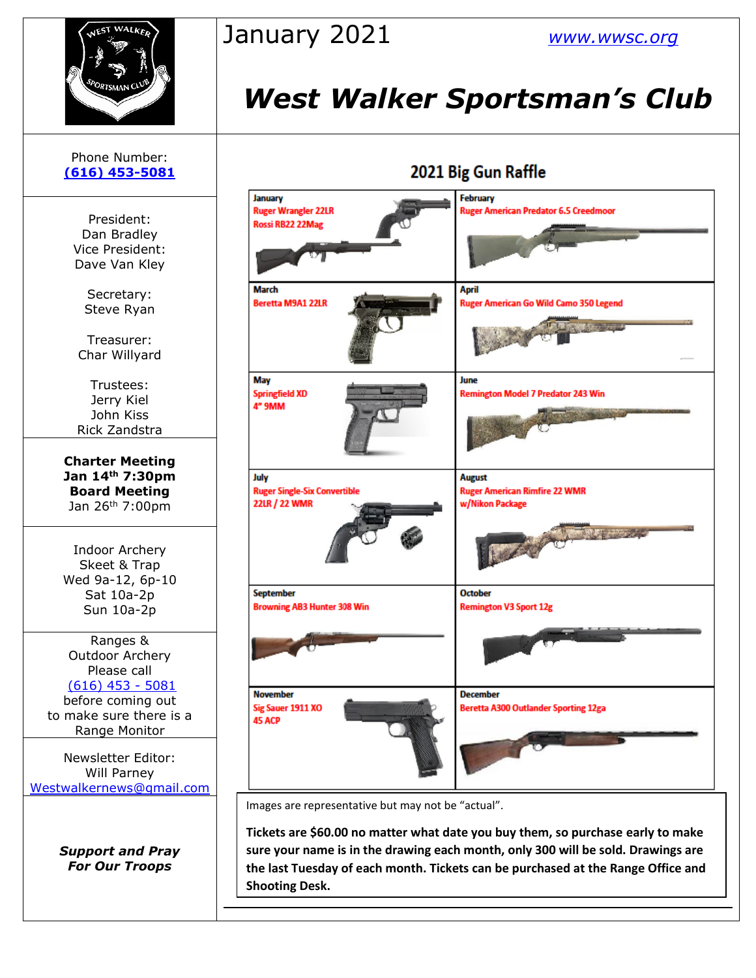

## January 2021 *[www.wwsc.org](http://www.wwsc.org/)*

# *West Walker Sportsman's Club*

## 2021 Big Gun Raffle



Images are representative but may not be "actual".

**Tickets are \$60.00 no matter what date you buy them, so purchase early to make sure your name is in the drawing each month, only 300 will be sold. Drawings are the last Tuesday of each month. Tickets can be purchased at the Range Office and Shooting Desk.**

### Phone Number: **[\(616\) 453-5081](https://d.docs.live.net/100b2af0d7ad2324/Documents/wwsc%20newsletters%202019/docx/616)%20453-5081)**

President: Dan Bradley Vice President: Dave Van Kley

> Secretary: Steve Ryan

Treasurer: Char Willyard

Trustees: Jerry Kiel John Kiss Rick Zandstra

**Charter Meeting Jan 14th 7:30pm Board Meeting** Jan 26th 7:00pm

Indoor Archery Skeet & Trap Wed 9a-12, 6p-10 Sat 10a-2p Sun 10a-2p

Ranges & Outdoor Archery Please call [\(616\) 453 -](https://d.docs.live.net/100b2af0d7ad2324/Documents/wwsc%20newsletters%202019/docx/616)%20453-5081) 5081 before coming out to make sure there is a Range Monitor

Newsletter Editor: Will Parney [Westwalkernews@gmail.com](mailto:Westwalkernews@gmail.com)

> *Support and Pray For Our Troops*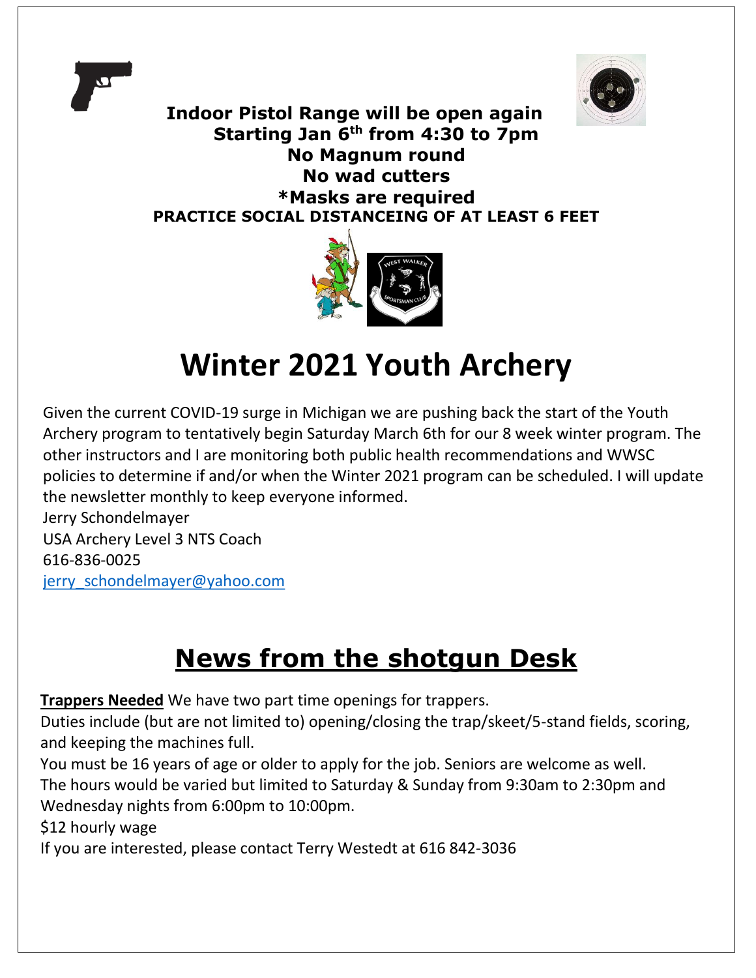



**Indoor Pistol Range will be open again Starting Jan 6th from 4:30 to 7pm No Magnum round No wad cutters \*Masks are required PRACTICE SOCIAL DISTANCEING OF AT LEAST 6 FEET**



# **Winter 2021 Youth Archery**

Given the current COVID-19 surge in Michigan we are pushing back the start of the Youth Archery program to tentatively begin Saturday March 6th for our 8 week winter program. The other instructors and I are monitoring both public health recommendations and WWSC policies to determine if and/or when the Winter 2021 program can be scheduled. I will update the newsletter monthly to keep everyone informed.

Jerry Schondelmayer USA Archery Level 3 NTS Coach 616-836-0025 jerry\_schondelmayer@yahoo.com

## **News from the shotgun Desk**

**Trappers Needed** We have two part time openings for trappers.

Duties include (but are not limited to) opening/closing the trap/skeet/5-stand fields, scoring, and keeping the machines full.

You must be 16 years of age or older to apply for the job. Seniors are welcome as well. The hours would be varied but limited to Saturday & Sunday from 9:30am to 2:30pm and Wednesday nights from 6:00pm to 10:00pm.

\$12 hourly wage

If you are interested, please contact Terry Westedt at 616 842-3036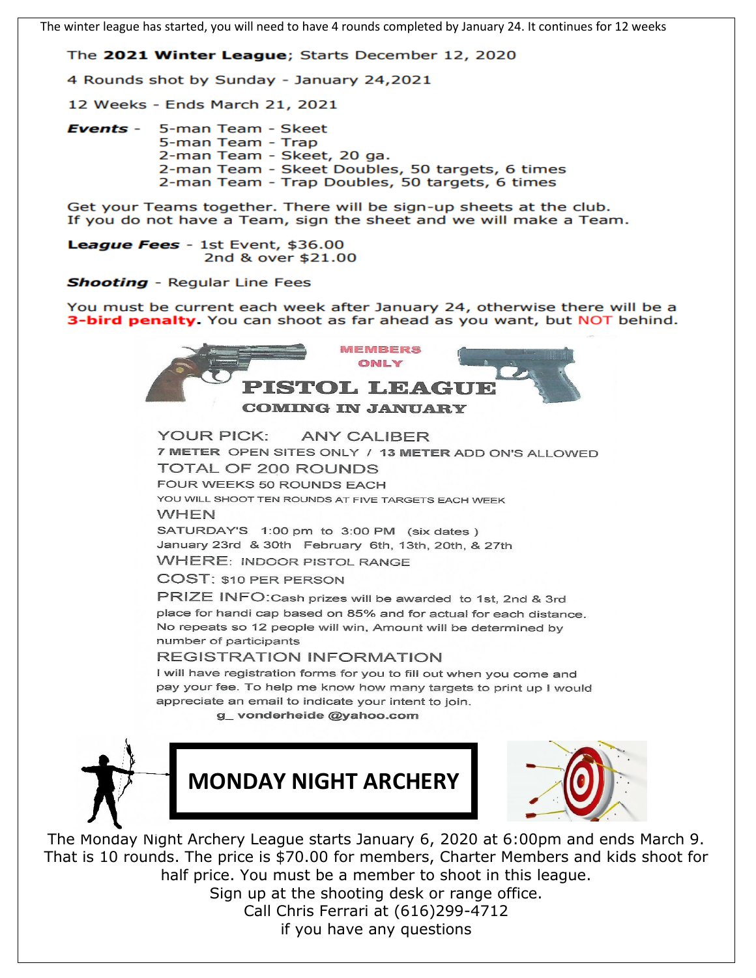The winter league has started, you will need to have 4 rounds completed by January 24. It continues for 12 weeks

The 2021 Winter League; Starts December 12, 2020

4 Rounds shot by Sunday - January 24,2021

12 Weeks - Ends March 21, 2021

5-man Team - Skeet Events -5-man Team - Trap 2-man Team - Skeet, 20 ga. 2-man Team - Skeet Doubles, 50 targets, 6 times 2-man Team - Trap Doubles, 50 targets, 6 times

Get your Teams together. There will be sign-up sheets at the club. If you do not have a Team, sign the sheet and we will make a Team.

League Fees - 1st Event, \$36.00 2nd & over \$21.00

**Shooting** - Regular Line Fees

You must be current each week after January 24, otherwise there will be a 3-bird penalty. You can shoot as far ahead as you want, but NOT behind.



**YOUR PICK: ANY CALIBER** 7 METER OPEN SITES ONLY / 13 METER ADD ON'S ALLOWED **TOTAL OF 200 ROUNDS** FOUR WEEKS 50 ROUNDS EACH YOU WILL SHOOT TEN ROUNDS AT FIVE TARGETS EACH WEEK **WHEN** SATURDAY'S 1:00 pm to 3:00 PM (six dates) January 23rd & 30th February 6th, 13th, 20th, & 27th **WHERE: INDOOR PISTOL RANGE COST: \$10 PER PERSON** PRIZE INFO: Cash prizes will be awarded to 1st, 2nd & 3rd place for handi cap based on 85% and for actual for each distance.

No repeats so 12 people will win, Amount will be determined by number of participants

#### **REGISTRATION INFORMATION**

I will have registration forms for you to fill out when you come and pay your fee. To help me know how many targets to print up I would appreciate an email to indicate your intent to join.

g\_vonderheide@yahoo.com







The Monday Night Archery League starts January 6, 2020 at 6:00pm and ends March 9. That is 10 rounds. The price is \$70.00 for members, Charter Members and kids shoot for half price. You must be a member to shoot in this league. Sign up at the shooting desk or range office.

Call Chris Ferrari at (616)299-4712 if you have any questions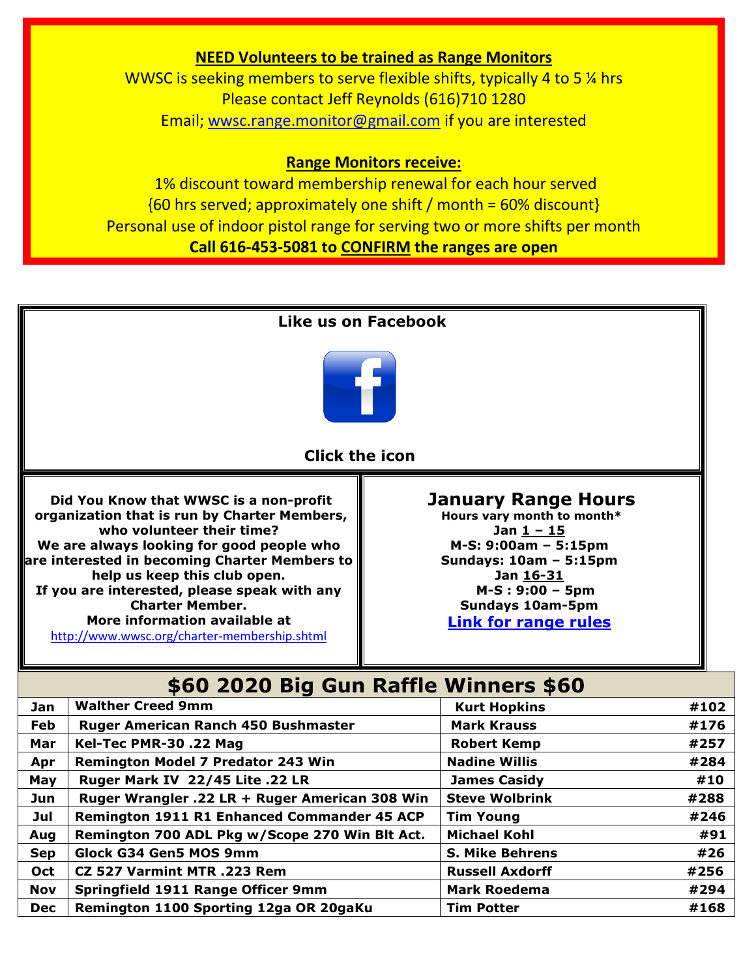### **NEED Volunteers to be trained as Range Monitors**

WWSC is seeking members to serve flexible shifts, typically 4 to 5 % hrs Please contact Jeff Reynolds (616)710 1280 Email; [wwsc.range.monitor@gmail.com](mailto:wwsc.range.monitor@gmail.com) if you are interested

### **Range Monitors receive:**

1% discount toward membership renewal for each hour served  ${60 \text{ hrs}$  served; approximately one shift / month = 60% discount} Personal use of indoor pistol range for serving two or more shifts per month **Call 616-453-5081 to CONFIRM the ranges are open**



**Oct CZ 527 Varmint MTR .223 Rem Russell Russell Axdorff Axamini #256 Nov** Springfield 1911 Range Officer 9mm Mark Roedema #294 **Dec** Remington 1100 Sporting 12ga OR 20gaKu Tim Potter **1988 1988 #168**